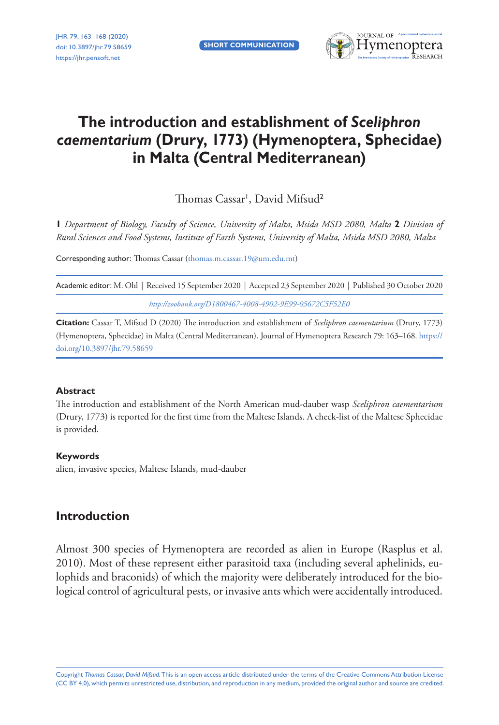**Short Communication**



# **The introduction and establishment of** *Sceliphron caementarium* **(Drury, 1773) (Hymenoptera, Sphecidae) in Malta (Central Mediterranean)**

Thomas Cassar<sup>1</sup>, David Mifsud<sup>2</sup>

**1** *Department of Biology, Faculty of Science, University of Malta, Msida MSD 2080, Malta* **2** *Division of Rural Sciences and Food Systems, Institute of Earth Systems, University of Malta, Msida MSD 2080, Malta*

Corresponding author: Thomas Cassar [\(thomas.m.cassar.19@um.edu.mt\)](mailto:thomas.m.cassar.19@um.edu.mt)

Academic editor: M. Ohl | Received 15 September 2020 | Accepted 23 September 2020 | Published 30 October 2020 *<http://zoobank.org/D1800467-4008-4902-9E99-05672C5F52E0>*

**Citation:** Cassar T, Mifsud D (2020) The introduction and establishment of *Sceliphron caementarium* (Drury, 1773) (Hymenoptera, Sphecidae) in Malta (Central Mediterranean). Journal of Hymenoptera Research 79: 163–168. [https://](https://doi.org/%18) [doi.org/10.3897/jhr.79.58659](https://doi.org/%18)

#### **Abstract**

The introduction and establishment of the North American mud-dauber wasp *Sceliphron caementarium* (Drury, 1773) is reported for the first time from the Maltese Islands. A check-list of the Maltese Sphecidae is provided.

#### **Keywords**

alien, invasive species, Maltese Islands, mud-dauber

# **Introduction**

Almost 300 species of Hymenoptera are recorded as alien in Europe (Rasplus et al. 2010). Most of these represent either parasitoid taxa (including several aphelinids, eulophids and braconids) of which the majority were deliberately introduced for the biological control of agricultural pests, or invasive ants which were accidentally introduced.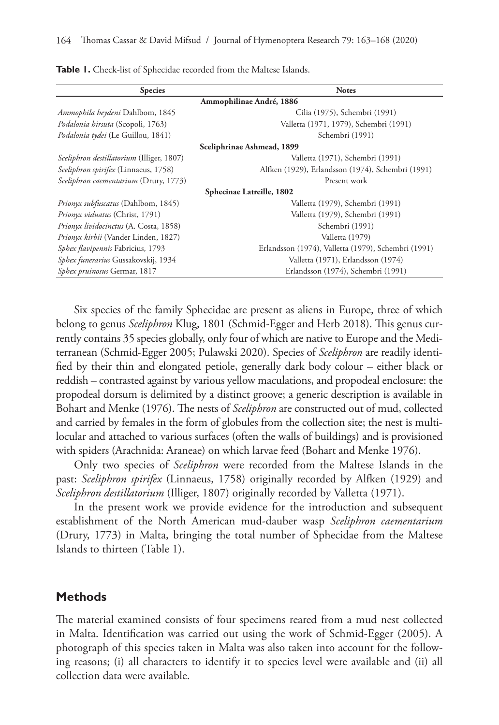| <b>Species</b>                            | <b>Notes</b>                                        |
|-------------------------------------------|-----------------------------------------------------|
| Ammophilinae André, 1886                  |                                                     |
| Ammophila heydeni Dahlbom, 1845           | Cilia (1975), Schembri (1991)                       |
| Podalonia hirsuta (Scopoli, 1763)         | Valletta (1971, 1979), Schembri (1991)              |
| Podalonia tydei (Le Guillou, 1841)        | Schembri (1991)                                     |
| Sceliphrinae Ashmead, 1899                |                                                     |
| Sceliphron destillatorium (Illiger, 1807) | Valletta (1971), Schembri (1991)                    |
| Sceliphron spirifex (Linnaeus, 1758)      | Alfken (1929), Erlandsson (1974), Schembri (1991)   |
| Sceliphron caementarium (Drury, 1773)     | Present work                                        |
| Sphecinae Latreille, 1802                 |                                                     |
| Prionyx subfuscatus (Dahlbom, 1845)       | Valletta (1979), Schembri (1991)                    |
| Prionyx viduatus (Christ, 1791)           | Valletta (1979), Schembri (1991)                    |
| Prionyx lividocinctus (A. Costa, 1858)    | Schembri (1991)                                     |
| Prionyx kirbii (Vander Linden, 1827)      | Valletta (1979)                                     |
| Sphex flavipennis Fabricius, 1793         | Erlandsson (1974), Valletta (1979), Schembri (1991) |
| Sphex funerarius Gussakovskij, 1934       | Valletta (1971), Erlandsson (1974)                  |
| Sphex pruinosus Germar, 1817              | Erlandsson (1974), Schembri (1991)                  |

**Table 1.** Check-list of Sphecidae recorded from the Maltese Islands.

Six species of the family Sphecidae are present as aliens in Europe, three of which belong to genus *Sceliphron* Klug, 1801 (Schmid-Egger and Herb 2018). This genus currently contains 35 species globally, only four of which are native to Europe and the Mediterranean (Schmid-Egger 2005; Pulawski 2020). Species of *Sceliphron* are readily identified by their thin and elongated petiole, generally dark body colour – either black or reddish – contrasted against by various yellow maculations, and propodeal enclosure: the propodeal dorsum is delimited by a distinct groove; a generic description is available in Bohart and Menke (1976). The nests of *Sceliphron* are constructed out of mud, collected and carried by females in the form of globules from the collection site; the nest is multilocular and attached to various surfaces (often the walls of buildings) and is provisioned with spiders (Arachnida: Araneae) on which larvae feed (Bohart and Menke 1976).

Only two species of *Sceliphron* were recorded from the Maltese Islands in the past: *Sceliphron spirifex* (Linnaeus, 1758) originally recorded by Alfken (1929) and *Sceliphron destillatorium* (Illiger, 1807) originally recorded by Valletta (1971).

In the present work we provide evidence for the introduction and subsequent establishment of the North American mud-dauber wasp *Sceliphron caementarium* (Drury, 1773) in Malta, bringing the total number of Sphecidae from the Maltese Islands to thirteen (Table 1).

#### **Methods**

The material examined consists of four specimens reared from a mud nest collected in Malta. Identification was carried out using the work of Schmid-Egger (2005). A photograph of this species taken in Malta was also taken into account for the following reasons; (i) all characters to identify it to species level were available and (ii) all collection data were available.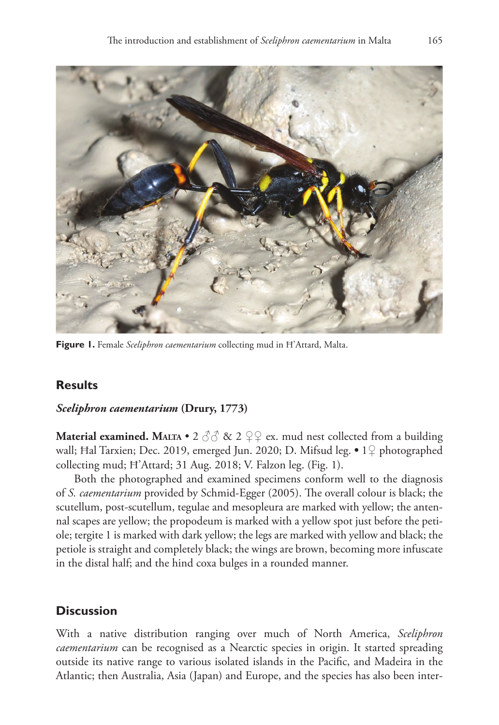

**Figure 1.** Female *Sceliphron caementarium* collecting mud in Ħ'Attard, Malta.

# **Results**

## *Sceliphron caementarium* **(Drury, 1773)**

**Material examined. MALTA** • 2  $\partial \partial \partial$  & 2  $\partial \partial \partial$  ex. mud nest collected from a building wall; Ħal Tarxien; Dec. 2019, emerged Jun. 2020; D. Mifsud leg. **•** 1♀ photographed collecting mud; Ħ'Attard; 31 Aug. 2018; V. Falzon leg. (Fig. 1).

Both the photographed and examined specimens conform well to the diagnosis of *S. caementarium* provided by Schmid-Egger (2005). The overall colour is black; the scutellum, post-scutellum, tegulae and mesopleura are marked with yellow; the antennal scapes are yellow; the propodeum is marked with a yellow spot just before the petiole; tergite 1 is marked with dark yellow; the legs are marked with yellow and black; the petiole is straight and completely black; the wings are brown, becoming more infuscate in the distal half; and the hind coxa bulges in a rounded manner.

# **Discussion**

With a native distribution ranging over much of North America, *Sceliphron caementarium* can be recognised as a Nearctic species in origin. It started spreading outside its native range to various isolated islands in the Pacific, and Madeira in the Atlantic; then Australia, Asia (Japan) and Europe, and the species has also been inter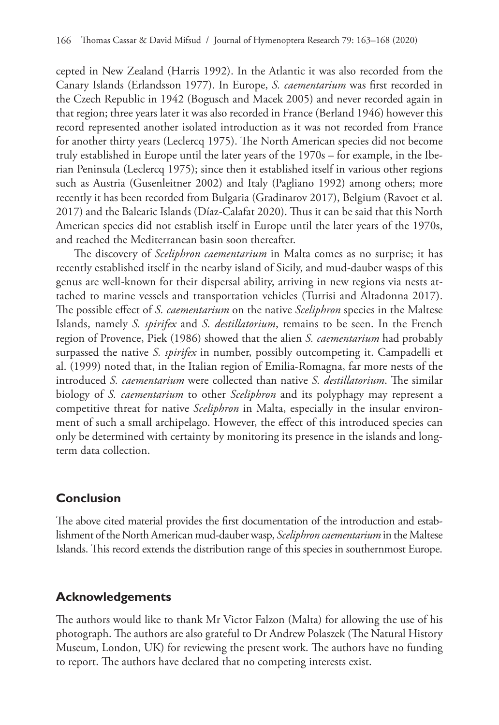cepted in New Zealand (Harris 1992). In the Atlantic it was also recorded from the Canary Islands (Erlandsson 1977). In Europe, *S. caementarium* was first recorded in the Czech Republic in 1942 (Bogusch and Macek 2005) and never recorded again in that region; three years later it was also recorded in France (Berland 1946) however this record represented another isolated introduction as it was not recorded from France for another thirty years (Leclercq 1975). The North American species did not become truly established in Europe until the later years of the 1970s – for example, in the Iberian Peninsula (Leclercq 1975); since then it established itself in various other regions such as Austria (Gusenleitner 2002) and Italy (Pagliano 1992) among others; more recently it has been recorded from Bulgaria (Gradinarov 2017), Belgium (Ravoet et al. 2017) and the Balearic Islands (Díaz-Calafat 2020). Thus it can be said that this North American species did not establish itself in Europe until the later years of the 1970s, and reached the Mediterranean basin soon thereafter.

The discovery of *Sceliphron caementarium* in Malta comes as no surprise; it has recently established itself in the nearby island of Sicily, and mud-dauber wasps of this genus are well-known for their dispersal ability, arriving in new regions via nests attached to marine vessels and transportation vehicles (Turrisi and Altadonna 2017). The possible effect of *S. caementarium* on the native *Sceliphron* species in the Maltese Islands, namely *S. spirifex* and *S. destillatorium*, remains to be seen. In the French region of Provence, Piek (1986) showed that the alien *S. caementarium* had probably surpassed the native *S. spirifex* in number, possibly outcompeting it. Campadelli et al. (1999) noted that, in the Italian region of Emilia-Romagna, far more nests of the introduced *S. caementarium* were collected than native *S. destillatorium*. The similar biology of *S. caementarium* to other *Sceliphron* and its polyphagy may represent a competitive threat for native *Sceliphron* in Malta, especially in the insular environment of such a small archipelago. However, the effect of this introduced species can only be determined with certainty by monitoring its presence in the islands and longterm data collection.

### **Conclusion**

The above cited material provides the first documentation of the introduction and establishment of the North American mud-dauber wasp, *Sceliphron caementarium* in the Maltese Islands. This record extends the distribution range of this species in southernmost Europe.

### **Acknowledgements**

The authors would like to thank Mr Victor Falzon (Malta) for allowing the use of his photograph. The authors are also grateful to Dr Andrew Polaszek (The Natural History Museum, London, UK) for reviewing the present work. The authors have no funding to report. The authors have declared that no competing interests exist.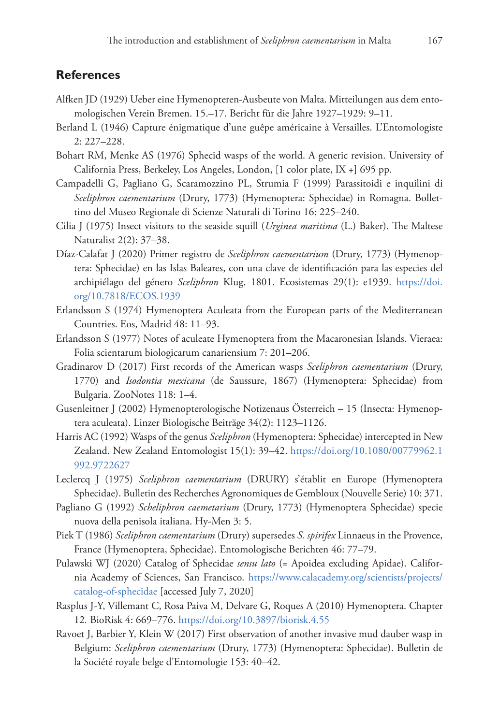## **References**

- Alfken JD (1929) Ueber eine Hymenopteren-Ausbeute von Malta. Mitteilungen aus dem entomologischen Verein Bremen. 15.–17. Bericht für die Jahre 1927–1929: 9–11.
- Berland L (1946) Capture énigmatique d'une guêpe américaine à Versailles. L'Entomologiste 2: 227–228.
- Bohart RM, Menke AS (1976) Sphecid wasps of the world. A generic revision. University of California Press, Berkeley, Los Angeles, London, [1 color plate, IX +] 695 pp.
- Campadelli G, Pagliano G, Scaramozzino PL, Strumia F (1999) Parassitoidi e inquilini di *Sceliphron caementarium* (Drury, 1773) (Hymenoptera: Sphecidae) in Romagna. Bollettino del Museo Regionale di Scienze Naturali di Torino 16: 225–240.
- Cilia J (1975) Insect visitors to the seaside squill (*Urginea maritima* (L.) Baker). The Maltese Naturalist 2(2): 37–38.
- Díaz-Calafat J (2020) Primer registro de *Sceliphron caementarium* (Drury, 1773) (Hymenoptera: Sphecidae) en las Islas Baleares, con una clave de identificación para las especies del archipiélago del género *Sceliphron* Klug, 1801. Ecosistemas 29(1): e1939. [https://doi.](https://doi.org/10.7818/ECOS.1939) [org/10.7818/ECOS.1939](https://doi.org/10.7818/ECOS.1939)
- Erlandsson S (1974) Hymenoptera Aculeata from the European parts of the Mediterranean Countries. Eos, Madrid 48: 11–93.
- Erlandsson S (1977) Notes of aculeate Hymenoptera from the Macaronesian Islands. Vieraea: Folia scientarum biologicarum canariensium 7: 201–206.
- Gradinarov D (2017) First records of the American wasps *Sceliphron caementarium* (Drury, 1770) and *Isodontia mexicana* (de Saussure, 1867) (Hymenoptera: Sphecidae) from Bulgaria. ZooNotes 118: 1–4.
- Gusenleitner J (2002) Hymenopterologische Notizenaus Österreich 15 (Insecta: Hymenoptera aculeata). Linzer Biologische Beiträge 34(2): 1123–1126.
- Harris AC (1992) Wasps of the genus *Sceliphron* (Hymenoptera: Sphecidae) intercepted in New Zealand. New Zealand Entomologist 15(1): 39–42. [https://doi.org/10.1080/00779962.1](https://doi.org/10.1080/00779962.1992.9722627) [992.9722627](https://doi.org/10.1080/00779962.1992.9722627)
- Leclercq J (1975) *Sceliphron caementarium* (DRURY) s'établit en Europe (Hymenoptera Sphecidae). Bulletin des Recherches Agronomiques de Gembloux (Nouvelle Serie) 10: 371.
- Pagliano G (1992) *Scheliphron caemetarium* (Drury, 1773) (Hymenoptera Sphecidae) specie nuova della penisola italiana. Hy-Men 3: 5.
- Piek T (1986) *Sceliphron caementarium* (Drury) supersedes *S. spirifex* Linnaeus in the Provence, France (Hymenoptera, Sphecidae). Entomologische Berichten 46: 77–79.
- Pulawski WJ (2020) Catalog of Sphecidae *sensu lato* (= Apoidea excluding Apidae). California Academy of Sciences, San Francisco. [https://www.calacademy.org/scientists/projects/](https://www.calacademy.org/scientists/projects/catalog-of-sphecidae) [catalog-of-sphecidae](https://www.calacademy.org/scientists/projects/catalog-of-sphecidae) [accessed July 7, 2020]
- Rasplus J-Y, Villemant C, Rosa Paiva M, Delvare G, Roques A (2010) Hymenoptera. Chapter 12*.* BioRisk 4: 669–776.<https://doi.org/10.3897/biorisk.4.55>
- Ravoet J, Barbier Y, Klein W (2017) First observation of another invasive mud dauber wasp in Belgium: *Sceliphron caementarium* (Drury, 1773) (Hymenoptera: Sphecidae). Bulletin de la Société royale belge d'Entomologie 153: 40–42.